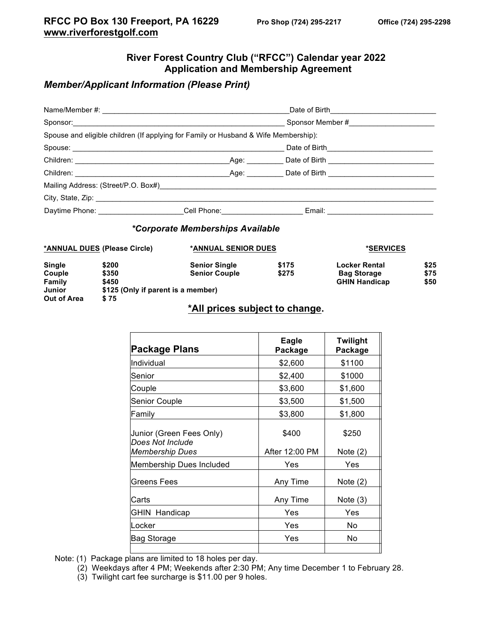# **River Forest Country Club ("RFCC") Calendar year 2022 Application and Membership Agreement**

## *Member/Applicant Information (Please Print)*

|                                                                                     |  |  |                                                                                                                                                                                                                                | Sponsor Member # |  |  |
|-------------------------------------------------------------------------------------|--|--|--------------------------------------------------------------------------------------------------------------------------------------------------------------------------------------------------------------------------------|------------------|--|--|
| Spouse and eligible children (If applying for Family or Husband & Wife Membership): |  |  |                                                                                                                                                                                                                                |                  |  |  |
|                                                                                     |  |  | Date of Birth___________________                                                                                                                                                                                               |                  |  |  |
|                                                                                     |  |  |                                                                                                                                                                                                                                |                  |  |  |
|                                                                                     |  |  | Children: Children: Children: Children: Children: Children: Children: Children: Children: Children: Children: Children: Children: Children: Children: Children: Children: Children: Children: Children: Children: Children: Ch |                  |  |  |
|                                                                                     |  |  |                                                                                                                                                                                                                                |                  |  |  |
|                                                                                     |  |  |                                                                                                                                                                                                                                |                  |  |  |
|                                                                                     |  |  | Daytime Phone: _______________________Cell Phone: _________________________Email: __________________                                                                                                                           |                  |  |  |
|                                                                                     |  |  |                                                                                                                                                                                                                                |                  |  |  |

#### *\*Corporate Memberships Available*

|               | *ANNUAL DUES (Please Circle)       | *ANNUAL SENIOR DUES  |       | *SERVICES            |      |
|---------------|------------------------------------|----------------------|-------|----------------------|------|
| <b>Single</b> | \$200                              | <b>Senior Single</b> | \$175 | <b>Locker Rental</b> | \$25 |
| Couple        | \$350                              | <b>Senior Couple</b> | \$275 | <b>Bag Storage</b>   | \$75 |
| Family        | \$450                              |                      |       | <b>GHIN Handicap</b> | \$50 |
| Junior        | \$125 (Only if parent is a member) |                      |       |                      |      |
| Out of Area   | \$75                               |                      |       |                      |      |

## **\*All prices subject to change.**

| Package Plans                                                          | Eagle<br>Package        | <b>Twilight</b><br>Package |
|------------------------------------------------------------------------|-------------------------|----------------------------|
| Individual                                                             | \$2,600                 | \$1100                     |
| Senior                                                                 | \$2,400                 | \$1000                     |
| Couple                                                                 | \$3,600                 | \$1,600                    |
| Senior Couple                                                          | \$3,500                 | \$1,500                    |
| Family                                                                 | \$3,800                 | \$1,800                    |
| Junior (Green Fees Only)<br>Does Not Include<br><b>Membership Dues</b> | \$400<br>After 12:00 PM | \$250<br>Note $(2)$        |
| Membership Dues Included                                               | Yes                     | Yes                        |
| Greens Fees                                                            | Any Time                | Note $(2)$                 |
| Carts                                                                  | Any Time                | Note $(3)$                 |
| <b>GHIN Handicap</b>                                                   | Yes                     | Yes                        |
| Locker                                                                 | Yes                     | No                         |
| Bag Storage                                                            | Yes                     | No                         |
|                                                                        |                         |                            |

Note: (1) Package plans are limited to 18 holes per day.

- (2) Weekdays after 4 PM; Weekends after 2:30 PM; Any time December 1 to February 28.
- (3) Twilight cart fee surcharge is \$11.00 per 9 holes.